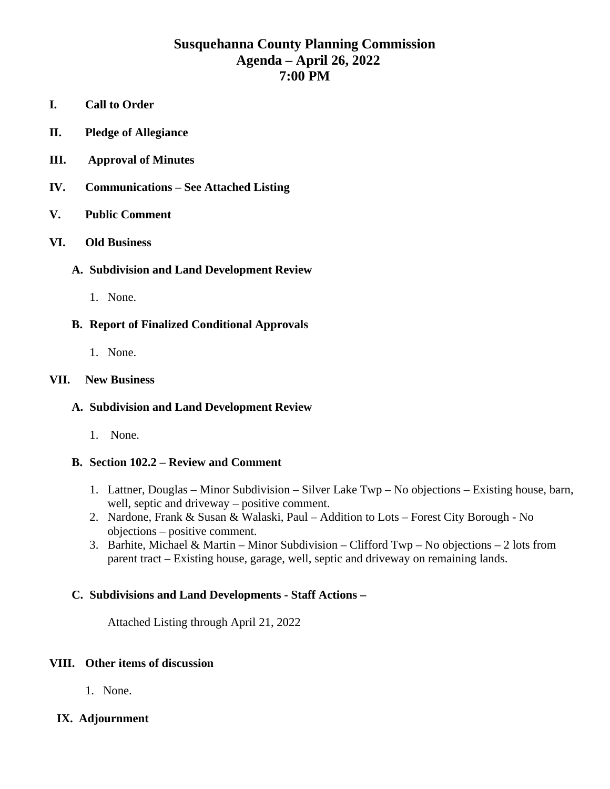# **Susquehanna County Planning Commission Agenda – April 26, 2022 7:00 PM**

- **I. Call to Order**
- **II. Pledge of Allegiance**
- **III. Approval of Minutes**
- **IV. Communications – See Attached Listing**

### **V. Public Comment**

### **VI. Old Business**

### **A. Subdivision and Land Development Review**

1. None.

## **B. Report of Finalized Conditional Approvals**

1. None.

### **VII. New Business**

### **A. Subdivision and Land Development Review**

1. None.

### **B. Section 102.2 – Review and Comment**

- 1. Lattner, Douglas Minor Subdivision Silver Lake Twp No objections Existing house, barn, well, septic and driveway – positive comment.
- 2. Nardone, Frank & Susan & Walaski, Paul Addition to Lots Forest City Borough No objections – positive comment.
- 3. Barhite, Michael & Martin Minor Subdivision Clifford Twp No objections 2 lots from parent tract – Existing house, garage, well, septic and driveway on remaining lands.

### **C. Subdivisions and Land Developments - Staff Actions –**

Attached Listing through April 21, 2022

### **VIII. Other items of discussion**

1. None.

## **IX. Adjournment**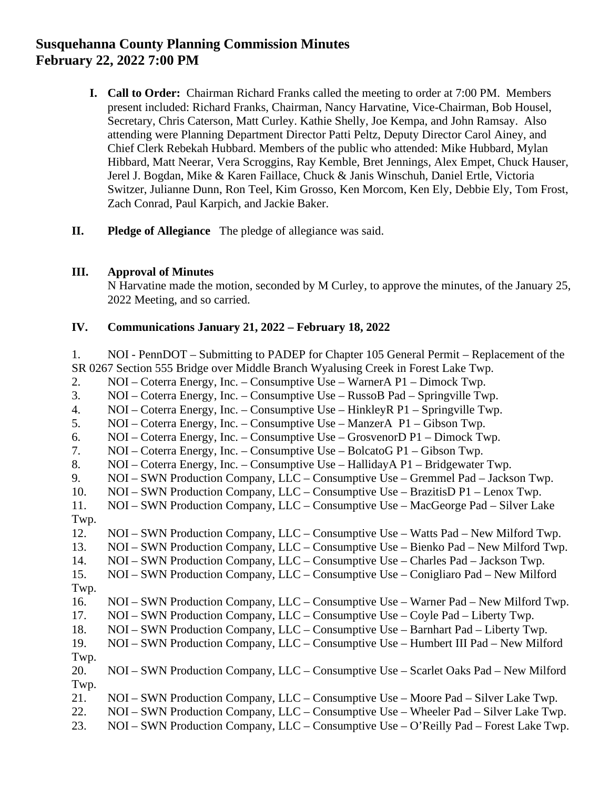# **Susquehanna County Planning Commission Minutes February 22, 2022 7:00 PM**

- **I. Call to Order:** Chairman Richard Franks called the meeting to order at 7:00 PM. Members present included: Richard Franks, Chairman, Nancy Harvatine, Vice-Chairman, Bob Housel, Secretary, Chris Caterson, Matt Curley. Kathie Shelly, Joe Kempa, and John Ramsay. Also attending were Planning Department Director Patti Peltz, Deputy Director Carol Ainey, and Chief Clerk Rebekah Hubbard. Members of the public who attended: Mike Hubbard, Mylan Hibbard, Matt Neerar, Vera Scroggins, Ray Kemble, Bret Jennings, Alex Empet, Chuck Hauser, Jerel J. Bogdan, Mike & Karen Faillace, Chuck & Janis Winschuh, Daniel Ertle, Victoria Switzer, Julianne Dunn, Ron Teel, Kim Grosso, Ken Morcom, Ken Ely, Debbie Ely, Tom Frost, Zach Conrad, Paul Karpich, and Jackie Baker.
- **II. Pledge of Allegiance** The pledge of allegiance was said.

### **III. Approval of Minutes**

N Harvatine made the motion, seconded by M Curley, to approve the minutes, of the January 25, 2022 Meeting, and so carried.

### **IV. Communications January 21, 2022 – February 18, 2022**

1. NOI - PennDOT – Submitting to PADEP for Chapter 105 General Permit – Replacement of the SR 0267 Section 555 Bridge over Middle Branch Wyalusing Creek in Forest Lake Twp. 2. NOI – Coterra Energy, Inc. – Consumptive Use – WarnerA P1 – Dimock Twp. 3. NOI – Coterra Energy, Inc. – Consumptive Use – RussoB Pad – Springville Twp. 4. NOI – Coterra Energy, Inc. – Consumptive Use – HinkleyR P1 – Springville Twp. 5. NOI – Coterra Energy, Inc. – Consumptive Use – ManzerA P1 – Gibson Twp. 6. NOI – Coterra Energy, Inc. – Consumptive Use – GrosvenorD P1 – Dimock Twp. 7. NOI – Coterra Energy, Inc. – Consumptive Use – BolcatoG P1 – Gibson Twp. 8. NOI – Coterra Energy, Inc. – Consumptive Use – HallidayA P1 – Bridgewater Twp. 9. NOI – SWN Production Company, LLC – Consumptive Use – Gremmel Pad – Jackson Twp. 10. NOI – SWN Production Company, LLC – Consumptive Use – BrazitisD P1 – Lenox Twp. 11. NOI – SWN Production Company, LLC – Consumptive Use – MacGeorge Pad – Silver Lake Twp. 12. NOI – SWN Production Company, LLC – Consumptive Use – Watts Pad – New Milford Twp. 13. NOI – SWN Production Company, LLC – Consumptive Use – Bienko Pad – New Milford Twp. 14. NOI – SWN Production Company, LLC – Consumptive Use – Charles Pad – Jackson Twp. 15. NOI – SWN Production Company, LLC – Consumptive Use – Conigliaro Pad – New Milford Twp. 16. NOI – SWN Production Company, LLC – Consumptive Use – Warner Pad – New Milford Twp. 17. NOI – SWN Production Company, LLC – Consumptive Use – Coyle Pad – Liberty Twp. 18. NOI – SWN Production Company, LLC – Consumptive Use – Barnhart Pad – Liberty Twp. 19. NOI – SWN Production Company, LLC – Consumptive Use – Humbert III Pad – New Milford Twp. 20. NOI – SWN Production Company, LLC – Consumptive Use – Scarlet Oaks Pad – New Milford Twp. 21. NOI – SWN Production Company, LLC – Consumptive Use – Moore Pad – Silver Lake Twp. 22. NOI – SWN Production Company, LLC – Consumptive Use – Wheeler Pad – Silver Lake Twp. 23. NOI – SWN Production Company, LLC – Consumptive Use – O'Reilly Pad – Forest Lake Twp.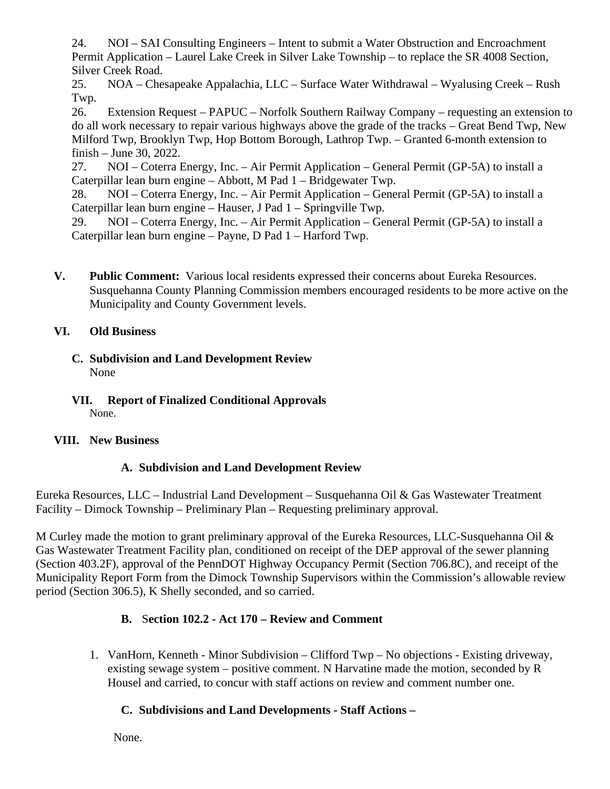24. NOI – SAI Consulting Engineers – Intent to submit a Water Obstruction and Encroachment Permit Application – Laurel Lake Creek in Silver Lake Township – to replace the SR 4008 Section, Silver Creek Road.

25. NOA – Chesapeake Appalachia, LLC – Surface Water Withdrawal – Wyalusing Creek – Rush Twp.

26. Extension Request – PAPUC – Norfolk Southern Railway Company – requesting an extension to do all work necessary to repair various highways above the grade of the tracks – Great Bend Twp, New Milford Twp, Brooklyn Twp, Hop Bottom Borough, Lathrop Twp. – Granted 6-month extension to finish – June 30, 2022.

27. NOI – Coterra Energy, Inc. – Air Permit Application – General Permit (GP-5A) to install a Caterpillar lean burn engine – Abbott, M Pad 1 – Bridgewater Twp.

28. NOI – Coterra Energy, Inc. – Air Permit Application – General Permit (GP-5A) to install a Caterpillar lean burn engine – Hauser, J Pad 1 – Springville Twp.

29. NOI – Coterra Energy, Inc. – Air Permit Application – General Permit (GP-5A) to install a Caterpillar lean burn engine – Payne, D Pad 1 – Harford Twp.

**V. Public Comment:** Various local residents expressed their concerns about Eureka Resources. Susquehanna County Planning Commission members encouraged residents to be more active on the Municipality and County Government levels.

## **VI. Old Business**

- **C. Subdivision and Land Development Review** None
- **VII. Report of Finalized Conditional Approvals**  None.

# **VIII. New Business**

# **A. Subdivision and Land Development Review**

Eureka Resources, LLC – Industrial Land Development – Susquehanna Oil & Gas Wastewater Treatment Facility – Dimock Township – Preliminary Plan – Requesting preliminary approval.

M Curley made the motion to grant preliminary approval of the Eureka Resources, LLC-Susquehanna Oil & Gas Wastewater Treatment Facility plan, conditioned on receipt of the DEP approval of the sewer planning (Section 403.2F), approval of the PennDOT Highway Occupancy Permit (Section 706.8C), and receipt of the Municipality Report Form from the Dimock Township Supervisors within the Commission's allowable review period (Section 306.5), K Shelly seconded, and so carried.

# **B.** S**ection 102.2 - Act 170 – Review and Comment**

1. VanHorn, Kenneth - Minor Subdivision – Clifford Twp – No objections - Existing driveway, existing sewage system – positive comment. N Harvatine made the motion, seconded by R Housel and carried, to concur with staff actions on review and comment number one.

# **C. Subdivisions and Land Developments - Staff Actions –**

None.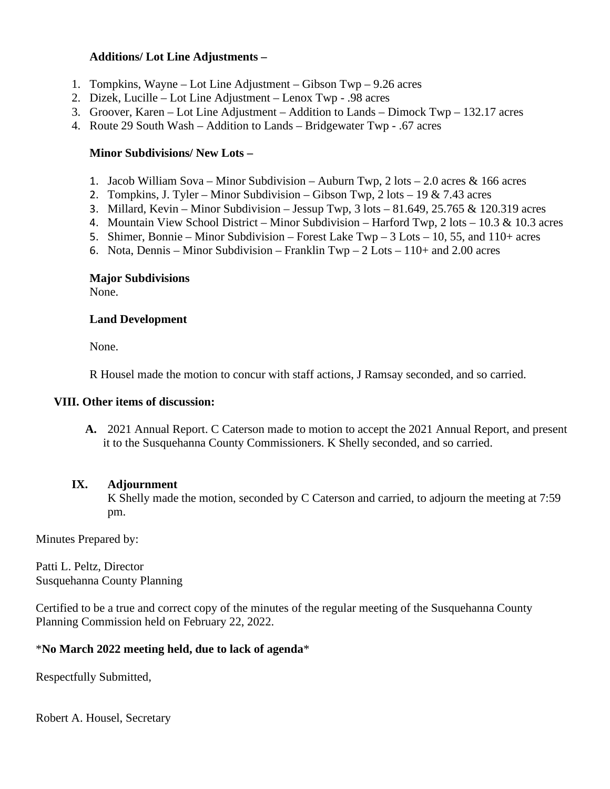### **Additions/ Lot Line Adjustments –**

- 1. Tompkins, Wayne Lot Line Adjustment Gibson Twp 9.26 acres
- 2. Dizek, Lucille Lot Line Adjustment Lenox Twp .98 acres
- 3. Groover, Karen Lot Line Adjustment Addition to Lands Dimock Twp 132.17 acres
- 4. Route 29 South Wash Addition to Lands Bridgewater Twp .67 acres

#### **Minor Subdivisions/ New Lots –**

- 1. Jacob William Sova Minor Subdivision Auburn Twp, 2 lots 2.0 acres & 166 acres
- 2. Tompkins, J. Tyler Minor Subdivision Gibson Twp, 2 lots 19 & 7.43 acres
- 3. Millard, Kevin Minor Subdivision Jessup Twp, 3 lots 81.649, 25.765 & 120.319 acres
- 4. Mountain View School District Minor Subdivision Harford Twp, 2 lots 10.3 & 10.3 acres
- 5. Shimer, Bonnie Minor Subdivision Forest Lake Twp 3 Lots 10, 55, and 110+ acres
- 6. Nota, Dennis Minor Subdivision Franklin Twp  $2$  Lots 110+ and 2.00 acres

#### **Major Subdivisions**

None.

#### **Land Development**

None.

R Housel made the motion to concur with staff actions, J Ramsay seconded, and so carried.

#### **VIII. Other items of discussion:**

**A.** 2021 Annual Report. C Caterson made to motion to accept the 2021 Annual Report, and present it to the Susquehanna County Commissioners. K Shelly seconded, and so carried.

### **IX. Adjournment**

K Shelly made the motion, seconded by C Caterson and carried, to adjourn the meeting at 7:59 pm.

Minutes Prepared by:

Patti L. Peltz, Director Susquehanna County Planning

Certified to be a true and correct copy of the minutes of the regular meeting of the Susquehanna County Planning Commission held on February 22, 2022.

### \***No March 2022 meeting held, due to lack of agenda**\*

Respectfully Submitted,

Robert A. Housel, Secretary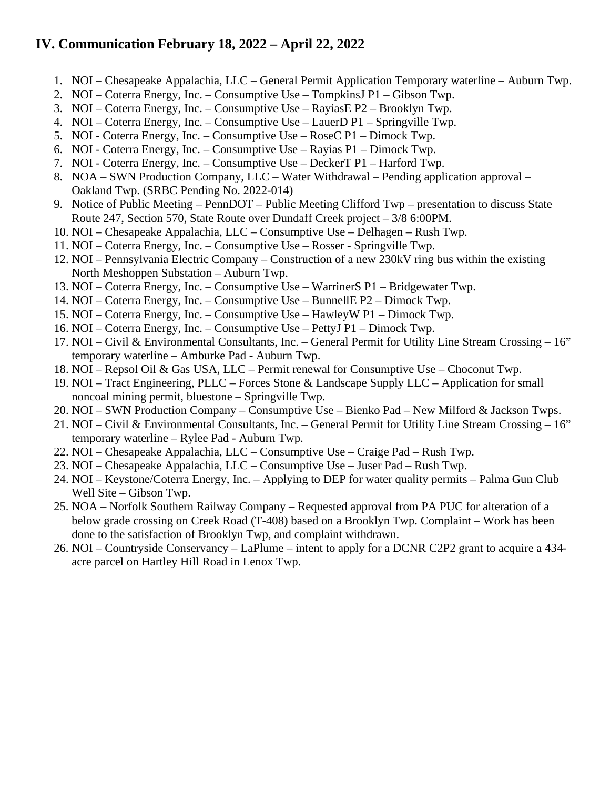# **IV. Communication February 18, 2022 – April 22, 2022**

- 1. NOI Chesapeake Appalachia, LLC General Permit Application Temporary waterline Auburn Twp.
- 2. NOI Coterra Energy, Inc. Consumptive Use TompkinsJ P1 Gibson Twp.
- 3. NOI Coterra Energy, Inc. Consumptive Use RayiasE P2 Brooklyn Twp.
- 4. NOI Coterra Energy, Inc. Consumptive Use LauerD P1 Springville Twp.
- 5. NOI Coterra Energy, Inc. Consumptive Use RoseC P1 Dimock Twp.
- 6. NOI Coterra Energy, Inc. Consumptive Use Rayias P1 Dimock Twp.
- 7. NOI Coterra Energy, Inc. Consumptive Use DeckerT P1 Harford Twp.
- 8. NOA SWN Production Company, LLC Water Withdrawal Pending application approval Oakland Twp. (SRBC Pending No. 2022-014)
- 9. Notice of Public Meeting PennDOT Public Meeting Clifford Twp presentation to discuss State Route 247, Section 570, State Route over Dundaff Creek project – 3/8 6:00PM.
- 10. NOI Chesapeake Appalachia, LLC Consumptive Use Delhagen Rush Twp.
- 11. NOI Coterra Energy, Inc. Consumptive Use Rosser Springville Twp.
- 12. NOI Pennsylvania Electric Company Construction of a new 230kV ring bus within the existing North Meshoppen Substation – Auburn Twp.
- 13. NOI Coterra Energy, Inc. Consumptive Use WarrinerS P1 Bridgewater Twp.
- 14. NOI Coterra Energy, Inc. Consumptive Use BunnellE P2 Dimock Twp.
- 15. NOI Coterra Energy, Inc. Consumptive Use HawleyW P1 Dimock Twp.
- 16. NOI Coterra Energy, Inc. Consumptive Use PettyJ P1 Dimock Twp.
- 17. NOI Civil & Environmental Consultants, Inc. General Permit for Utility Line Stream Crossing 16" temporary waterline – Amburke Pad - Auburn Twp.
- 18. NOI Repsol Oil & Gas USA, LLC Permit renewal for Consumptive Use Choconut Twp.
- 19. NOI Tract Engineering, PLLC Forces Stone & Landscape Supply LLC Application for small noncoal mining permit, bluestone – Springville Twp.
- 20. NOI SWN Production Company Consumptive Use Bienko Pad New Milford & Jackson Twps.
- 21. NOI Civil & Environmental Consultants, Inc. General Permit for Utility Line Stream Crossing 16" temporary waterline – Rylee Pad - Auburn Twp.
- 22. NOI Chesapeake Appalachia, LLC Consumptive Use Craige Pad Rush Twp.
- 23. NOI Chesapeake Appalachia, LLC Consumptive Use Juser Pad Rush Twp.
- 24. NOI Keystone/Coterra Energy, Inc. Applying to DEP for water quality permits Palma Gun Club Well Site – Gibson Twp.
- 25. NOA Norfolk Southern Railway Company Requested approval from PA PUC for alteration of a below grade crossing on Creek Road (T-408) based on a Brooklyn Twp. Complaint – Work has been done to the satisfaction of Brooklyn Twp, and complaint withdrawn.
- 26. NOI Countryside Conservancy LaPlume intent to apply for a DCNR C2P2 grant to acquire a 434 acre parcel on Hartley Hill Road in Lenox Twp.